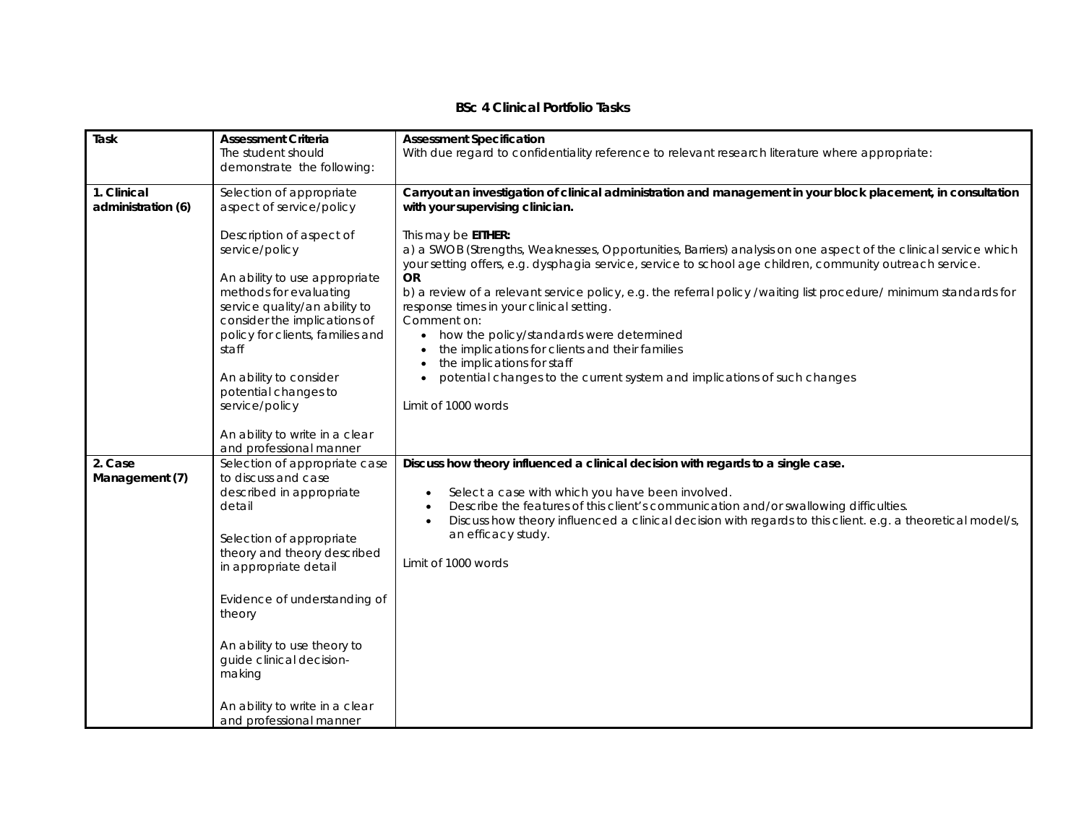## **BSc 4 Clinical Portfolio Tasks**

| Task                              | <b>Assessment Criteria</b>                                                                                                                                                                                                                                                                                                                                 | <b>Assessment Specification</b>                                                                                                                                                                                                                                                                                                                                                                                                                                                                                                                                                                                                                                                   |
|-----------------------------------|------------------------------------------------------------------------------------------------------------------------------------------------------------------------------------------------------------------------------------------------------------------------------------------------------------------------------------------------------------|-----------------------------------------------------------------------------------------------------------------------------------------------------------------------------------------------------------------------------------------------------------------------------------------------------------------------------------------------------------------------------------------------------------------------------------------------------------------------------------------------------------------------------------------------------------------------------------------------------------------------------------------------------------------------------------|
|                                   | The student should                                                                                                                                                                                                                                                                                                                                         | With due regard to confidentiality reference to relevant research literature where appropriate:                                                                                                                                                                                                                                                                                                                                                                                                                                                                                                                                                                                   |
|                                   | demonstrate the following:                                                                                                                                                                                                                                                                                                                                 |                                                                                                                                                                                                                                                                                                                                                                                                                                                                                                                                                                                                                                                                                   |
| 1. Clinical<br>administration (6) | Selection of appropriate<br>aspect of service/policy                                                                                                                                                                                                                                                                                                       | Carryout an investigation of clinical administration and management in your block placement, in consultation<br>with your supervising clinician.                                                                                                                                                                                                                                                                                                                                                                                                                                                                                                                                  |
|                                   | Description of aspect of<br>service/policy<br>An ability to use appropriate<br>methods for evaluating<br>service quality/an ability to<br>consider the implications of<br>policy for clients, families and<br>staff<br>An ability to consider<br>potential changes to<br>service/policy                                                                    | This may be EITHER:<br>a) a SWOB (Strengths, Weaknesses, Opportunities, Barriers) analysis on one aspect of the clinical service which<br>your setting offers, e.g. dysphagia service, service to school age children, community outreach service.<br><b>OR</b><br>b) a review of a relevant service policy, e.g. the referral policy /waiting list procedure/ minimum standards for<br>response times in your clinical setting.<br>Comment on:<br>• how the policy/standards were determined<br>the implications for clients and their families<br>the implications for staff<br>potential changes to the current system and implications of such changes<br>Limit of 1000 words |
|                                   | An ability to write in a clear<br>and professional manner                                                                                                                                                                                                                                                                                                  |                                                                                                                                                                                                                                                                                                                                                                                                                                                                                                                                                                                                                                                                                   |
| 2. Case<br>Management (7)         | Selection of appropriate case<br>to discuss and case<br>described in appropriate<br>detail<br>Selection of appropriate<br>theory and theory described<br>in appropriate detail<br>Evidence of understanding of<br>theory<br>An ability to use theory to<br>guide clinical decision-<br>making<br>An ability to write in a clear<br>and professional manner | Discuss how theory influenced a clinical decision with regards to a single case.<br>Select a case with which you have been involved.<br>Describe the features of this client's communication and/or swallowing difficulties.<br>Discuss how theory influenced a clinical decision with regards to this client. e.g. a theoretical model/s,<br>an efficacy study.<br>Limit of 1000 words                                                                                                                                                                                                                                                                                           |